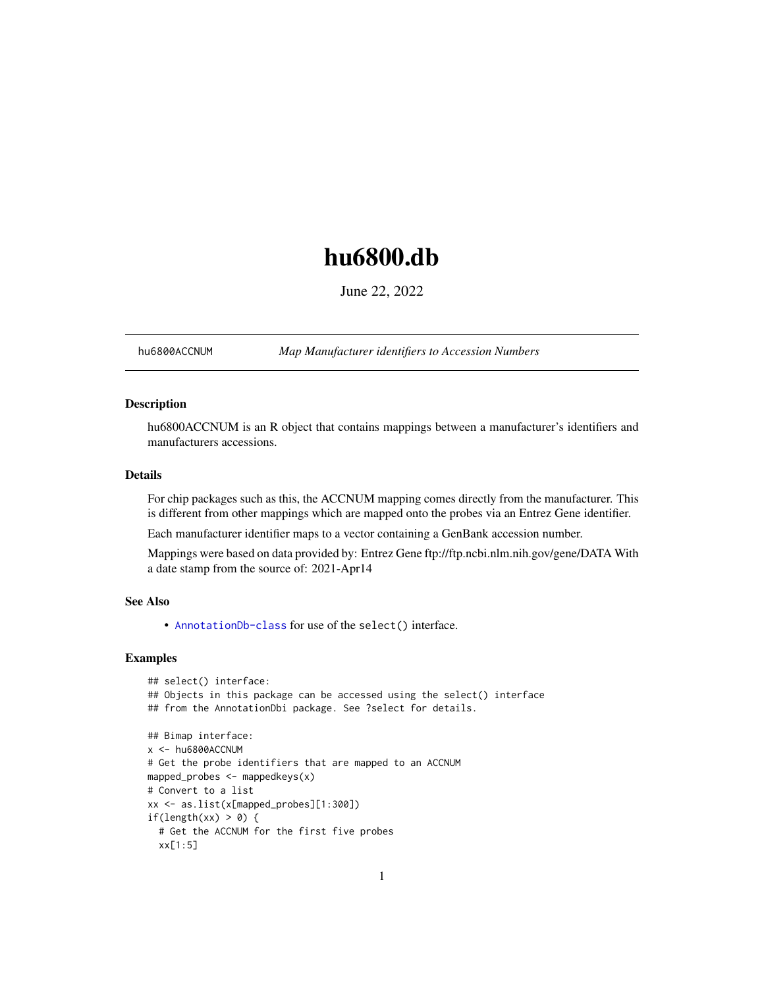## <span id="page-0-1"></span>hu6800.db

June 22, 2022

<span id="page-0-0"></span>hu6800ACCNUM *Map Manufacturer identifiers to Accession Numbers*

## Description

hu6800ACCNUM is an R object that contains mappings between a manufacturer's identifiers and manufacturers accessions.

## Details

For chip packages such as this, the ACCNUM mapping comes directly from the manufacturer. This is different from other mappings which are mapped onto the probes via an Entrez Gene identifier.

Each manufacturer identifier maps to a vector containing a GenBank accession number.

Mappings were based on data provided by: Entrez Gene ftp://ftp.ncbi.nlm.nih.gov/gene/DATA With a date stamp from the source of: 2021-Apr14

## See Also

• AnnotationDb-class for use of the select() interface.

```
## select() interface:
## Objects in this package can be accessed using the select() interface
## from the AnnotationDbi package. See ?select for details.
## Bimap interface:
x <- hu6800ACCNUM
# Get the probe identifiers that are mapped to an ACCNUM
mapped_probes <- mappedkeys(x)
# Convert to a list
xx <- as.list(x[mapped_probes][1:300])
if(length(xx) > 0) {
 # Get the ACCNUM for the first five probes
 xx[1:5]
```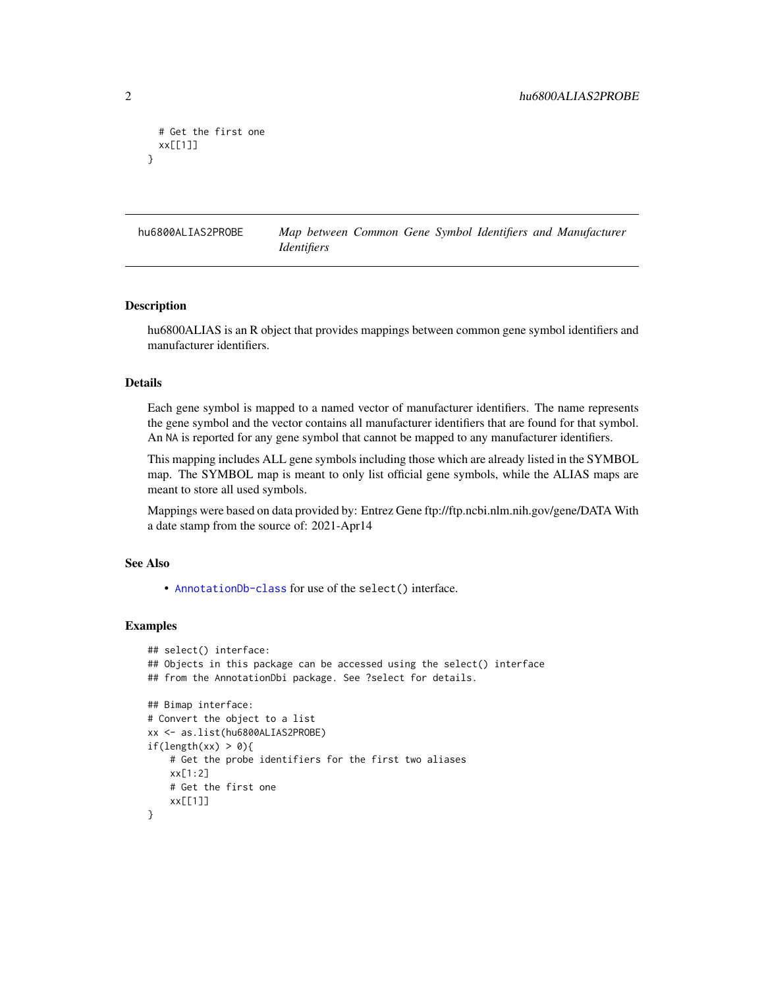```
# Get the first one
 xx[[1]]
}
```
hu6800ALIAS2PROBE *Map between Common Gene Symbol Identifiers and Manufacturer Identifiers*

#### Description

hu6800ALIAS is an R object that provides mappings between common gene symbol identifiers and manufacturer identifiers.

## Details

Each gene symbol is mapped to a named vector of manufacturer identifiers. The name represents the gene symbol and the vector contains all manufacturer identifiers that are found for that symbol. An NA is reported for any gene symbol that cannot be mapped to any manufacturer identifiers.

This mapping includes ALL gene symbols including those which are already listed in the SYMBOL map. The SYMBOL map is meant to only list official gene symbols, while the ALIAS maps are meant to store all used symbols.

Mappings were based on data provided by: Entrez Gene ftp://ftp.ncbi.nlm.nih.gov/gene/DATA With a date stamp from the source of: 2021-Apr14

## See Also

• [AnnotationDb-class](#page-0-0) for use of the select() interface.

```
## select() interface:
## Objects in this package can be accessed using the select() interface
## from the AnnotationDbi package. See ?select for details.
## Bimap interface:
# Convert the object to a list
xx <- as.list(hu6800ALIAS2PROBE)
if(length(xx) > 0){
    # Get the probe identifiers for the first two aliases
   xx[1:2]
   # Get the first one
   xx[[1]]
}
```
<span id="page-1-0"></span>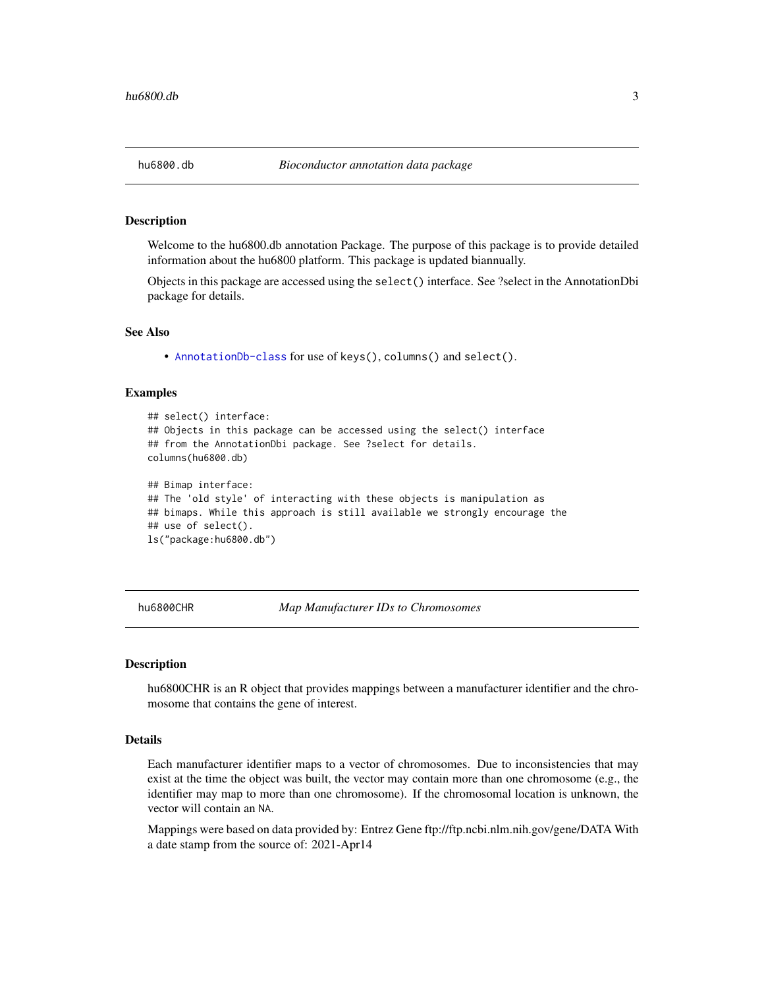<span id="page-2-0"></span>Welcome to the hu6800.db annotation Package. The purpose of this package is to provide detailed information about the hu6800 platform. This package is updated biannually.

Objects in this package are accessed using the select() interface. See ?select in the AnnotationDbi package for details.

#### See Also

• [AnnotationDb-class](#page-0-0) for use of keys(), columns() and select().

#### Examples

```
## select() interface:
## Objects in this package can be accessed using the select() interface
## from the AnnotationDbi package. See ?select for details.
columns(hu6800.db)
## Bimap interface:
## The 'old style' of interacting with these objects is manipulation as
## bimaps. While this approach is still available we strongly encourage the
## use of select().
ls("package:hu6800.db")
```
hu6800CHR *Map Manufacturer IDs to Chromosomes*

#### **Description**

hu6800CHR is an R object that provides mappings between a manufacturer identifier and the chromosome that contains the gene of interest.

## Details

Each manufacturer identifier maps to a vector of chromosomes. Due to inconsistencies that may exist at the time the object was built, the vector may contain more than one chromosome (e.g., the identifier may map to more than one chromosome). If the chromosomal location is unknown, the vector will contain an NA.

Mappings were based on data provided by: Entrez Gene ftp://ftp.ncbi.nlm.nih.gov/gene/DATA With a date stamp from the source of: 2021-Apr14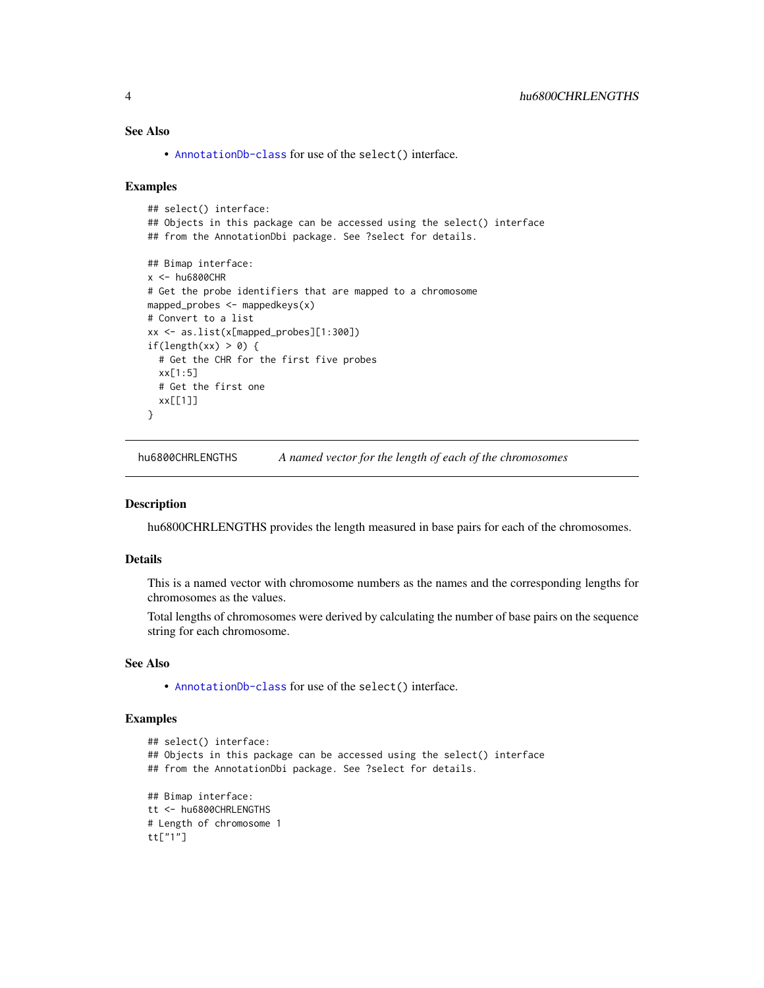## <span id="page-3-0"></span>See Also

• [AnnotationDb-class](#page-0-0) for use of the select() interface.

#### Examples

```
## select() interface:
## Objects in this package can be accessed using the select() interface
## from the AnnotationDbi package. See ?select for details.
## Bimap interface:
x < - hu6800CHR
# Get the probe identifiers that are mapped to a chromosome
mapped_probes <- mappedkeys(x)
# Convert to a list
xx <- as.list(x[mapped_probes][1:300])
if(length(xx) > 0) {
  # Get the CHR for the first five probes
  xx[1:5]
  # Get the first one
  xx[[1]]
}
```
hu6800CHRLENGTHS *A named vector for the length of each of the chromosomes*

#### Description

hu6800CHRLENGTHS provides the length measured in base pairs for each of the chromosomes.

#### Details

This is a named vector with chromosome numbers as the names and the corresponding lengths for chromosomes as the values.

Total lengths of chromosomes were derived by calculating the number of base pairs on the sequence string for each chromosome.

## See Also

• [AnnotationDb-class](#page-0-0) for use of the select() interface.

```
## select() interface:
## Objects in this package can be accessed using the select() interface
## from the AnnotationDbi package. See ?select for details.
## Bimap interface:
tt <- hu6800CHRLENGTHS
# Length of chromosome 1
tt["1"]
```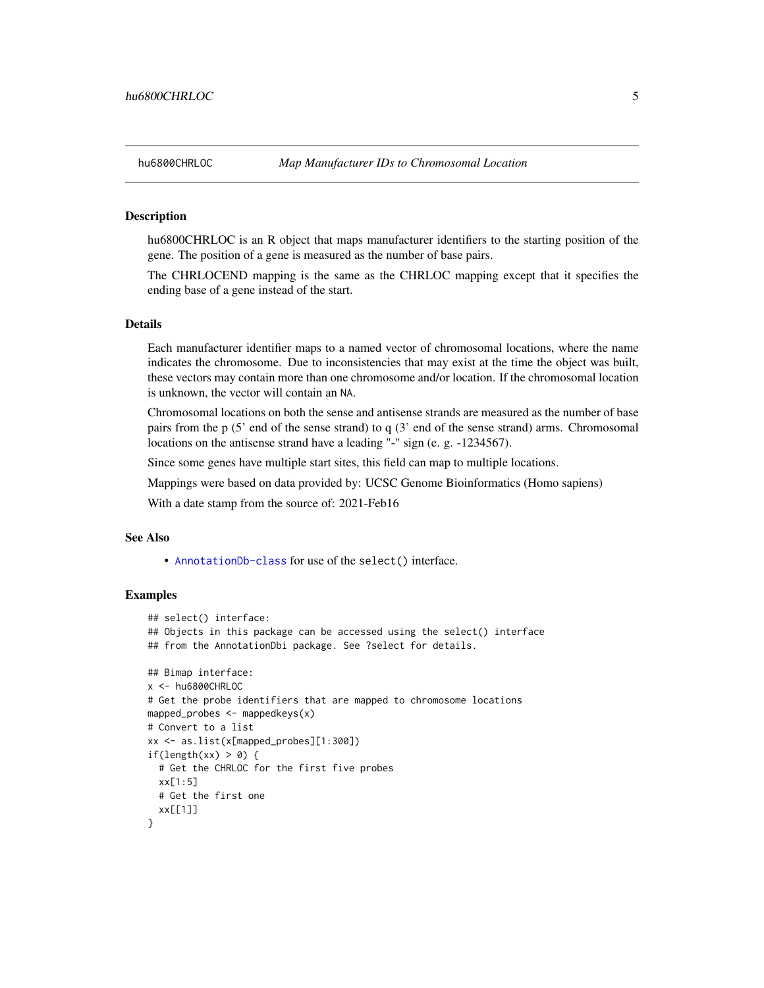<span id="page-4-0"></span>hu6800CHRLOC is an R object that maps manufacturer identifiers to the starting position of the gene. The position of a gene is measured as the number of base pairs.

The CHRLOCEND mapping is the same as the CHRLOC mapping except that it specifies the ending base of a gene instead of the start.

## Details

Each manufacturer identifier maps to a named vector of chromosomal locations, where the name indicates the chromosome. Due to inconsistencies that may exist at the time the object was built, these vectors may contain more than one chromosome and/or location. If the chromosomal location is unknown, the vector will contain an NA.

Chromosomal locations on both the sense and antisense strands are measured as the number of base pairs from the p (5' end of the sense strand) to q (3' end of the sense strand) arms. Chromosomal locations on the antisense strand have a leading "-" sign (e. g. -1234567).

Since some genes have multiple start sites, this field can map to multiple locations.

Mappings were based on data provided by: UCSC Genome Bioinformatics (Homo sapiens)

With a date stamp from the source of: 2021-Feb16

## See Also

• [AnnotationDb-class](#page-0-0) for use of the select() interface.

```
## select() interface:
## Objects in this package can be accessed using the select() interface
## from the AnnotationDbi package. See ?select for details.
## Bimap interface:
x <- hu6800CHRLOC
# Get the probe identifiers that are mapped to chromosome locations
mapped_probes <- mappedkeys(x)
# Convert to a list
xx <- as.list(x[mapped_probes][1:300])
if(length(xx) > 0) {
 # Get the CHRLOC for the first five probes
 xx[1:5]
 # Get the first one
 xx[[1]]
}
```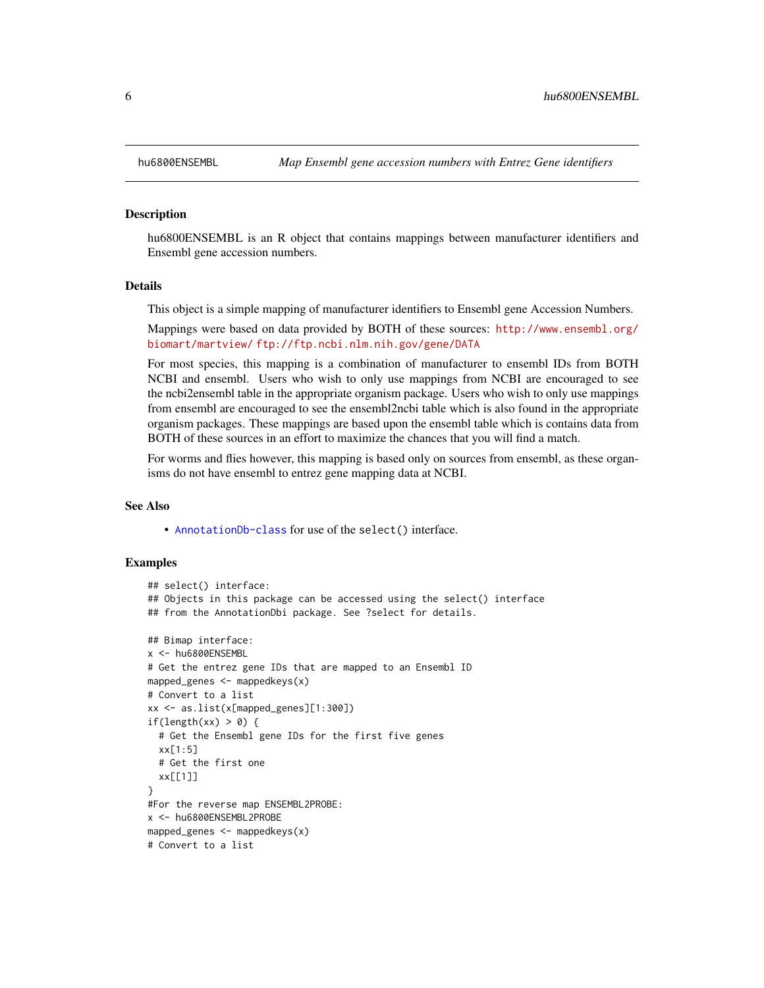hu6800ENSEMBL is an R object that contains mappings between manufacturer identifiers and Ensembl gene accession numbers.

## Details

This object is a simple mapping of manufacturer identifiers to Ensembl gene Accession Numbers.

Mappings were based on data provided by BOTH of these sources: [http://www.ensembl.org/](http://www.ensembl.org/biomart/martview/) [biomart/martview/](http://www.ensembl.org/biomart/martview/) <ftp://ftp.ncbi.nlm.nih.gov/gene/DATA>

For most species, this mapping is a combination of manufacturer to ensembl IDs from BOTH NCBI and ensembl. Users who wish to only use mappings from NCBI are encouraged to see the ncbi2ensembl table in the appropriate organism package. Users who wish to only use mappings from ensembl are encouraged to see the ensembl2ncbi table which is also found in the appropriate organism packages. These mappings are based upon the ensembl table which is contains data from BOTH of these sources in an effort to maximize the chances that you will find a match.

For worms and flies however, this mapping is based only on sources from ensembl, as these organisms do not have ensembl to entrez gene mapping data at NCBI.

## See Also

• [AnnotationDb-class](#page-0-0) for use of the select() interface.

```
## select() interface:
## Objects in this package can be accessed using the select() interface
## from the AnnotationDbi package. See ?select for details.
## Bimap interface:
x <- hu6800ENSEMBL
# Get the entrez gene IDs that are mapped to an Ensembl ID
mapped_genes \leq mappedkeys(x)
# Convert to a list
xx <- as.list(x[mapped_genes][1:300])
if(length(xx) > 0) {
 # Get the Ensembl gene IDs for the first five genes
 xx[1:5]
 # Get the first one
 xx[[1]]
}
#For the reverse map ENSEMBL2PROBE:
x <- hu6800ENSEMBL2PROBE
mapped_genes <- mappedkeys(x)
# Convert to a list
```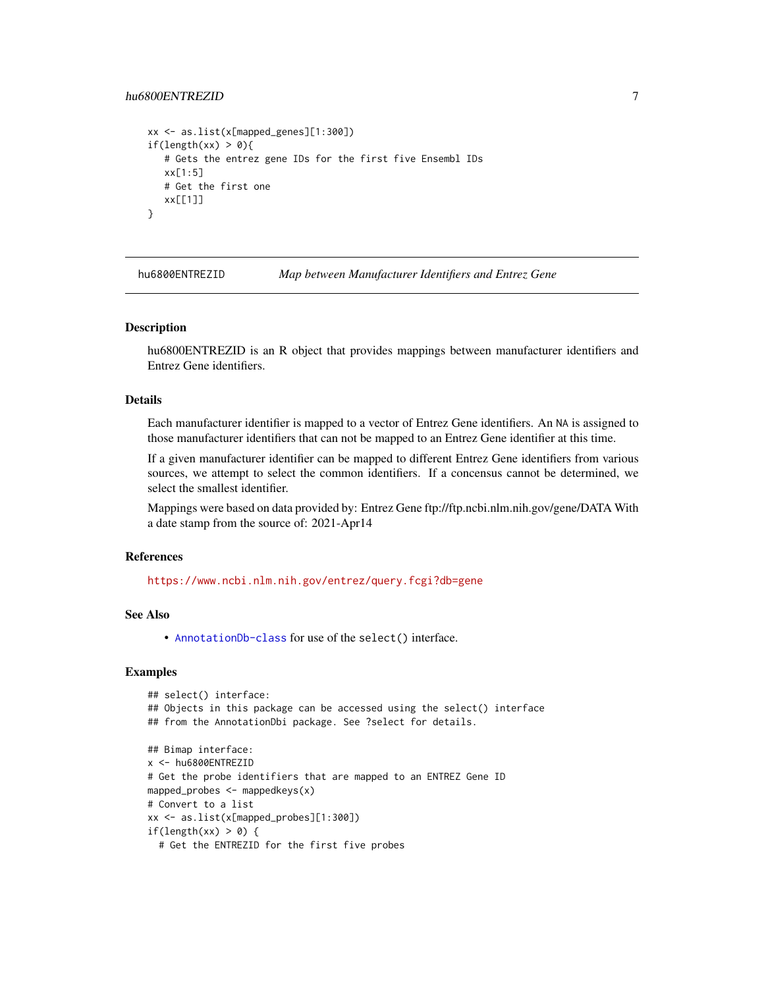## <span id="page-6-0"></span>hu6800ENTREZID 7

```
xx <- as.list(x[mapped_genes][1:300])
if(length(xx) > 0){
   # Gets the entrez gene IDs for the first five Ensembl IDs
  xx[1:5]
  # Get the first one
  xx[[1]]
}
```
hu6800ENTREZID *Map between Manufacturer Identifiers and Entrez Gene*

#### Description

hu6800ENTREZID is an R object that provides mappings between manufacturer identifiers and Entrez Gene identifiers.

## Details

Each manufacturer identifier is mapped to a vector of Entrez Gene identifiers. An NA is assigned to those manufacturer identifiers that can not be mapped to an Entrez Gene identifier at this time.

If a given manufacturer identifier can be mapped to different Entrez Gene identifiers from various sources, we attempt to select the common identifiers. If a concensus cannot be determined, we select the smallest identifier.

Mappings were based on data provided by: Entrez Gene ftp://ftp.ncbi.nlm.nih.gov/gene/DATA With a date stamp from the source of: 2021-Apr14

## References

<https://www.ncbi.nlm.nih.gov/entrez/query.fcgi?db=gene>

## See Also

• [AnnotationDb-class](#page-0-0) for use of the select() interface.

```
## select() interface:
## Objects in this package can be accessed using the select() interface
## from the AnnotationDbi package. See ?select for details.
## Bimap interface:
x <- hu6800ENTREZID
# Get the probe identifiers that are mapped to an ENTREZ Gene ID
mapped_probes <- mappedkeys(x)
# Convert to a list
xx <- as.list(x[mapped_probes][1:300])
if(length(xx) > 0) {
 # Get the ENTREZID for the first five probes
```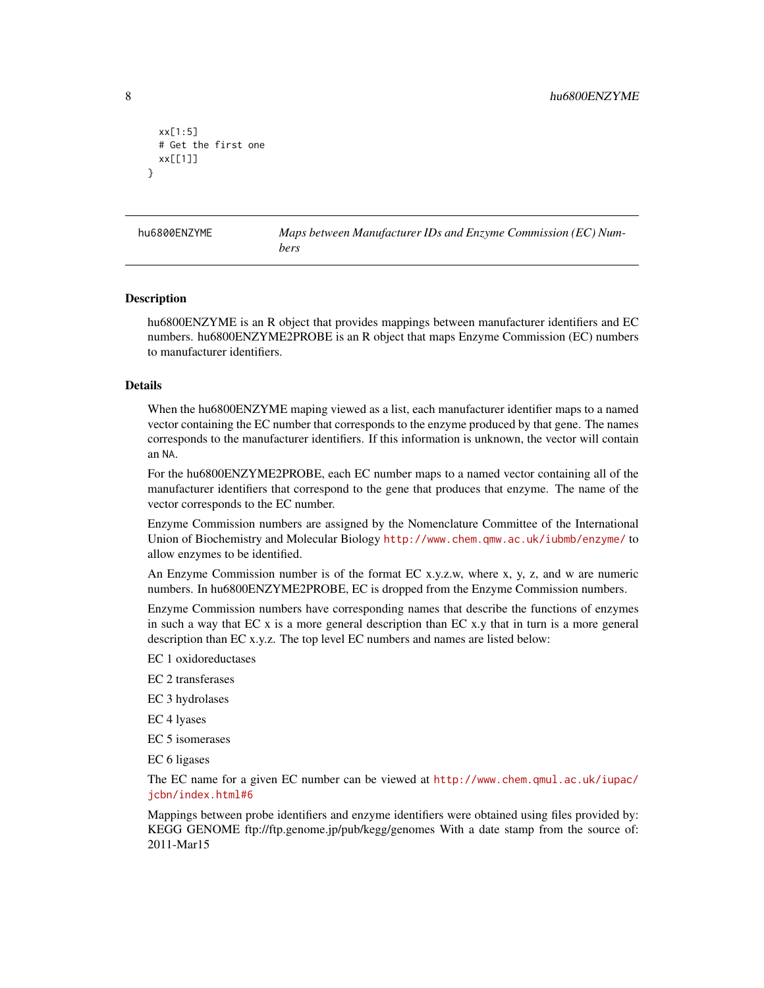```
xx[1:5]
 # Get the first one
 xx[[1]]
}
```
hu6800ENZYME *Maps between Manufacturer IDs and Enzyme Commission (EC) Numbers*

#### Description

hu6800ENZYME is an R object that provides mappings between manufacturer identifiers and EC numbers. hu6800ENZYME2PROBE is an R object that maps Enzyme Commission (EC) numbers to manufacturer identifiers.

#### Details

When the hu6800ENZYME maping viewed as a list, each manufacturer identifier maps to a named vector containing the EC number that corresponds to the enzyme produced by that gene. The names corresponds to the manufacturer identifiers. If this information is unknown, the vector will contain an NA.

For the hu6800ENZYME2PROBE, each EC number maps to a named vector containing all of the manufacturer identifiers that correspond to the gene that produces that enzyme. The name of the vector corresponds to the EC number.

Enzyme Commission numbers are assigned by the Nomenclature Committee of the International Union of Biochemistry and Molecular Biology <http://www.chem.qmw.ac.uk/iubmb/enzyme/> to allow enzymes to be identified.

An Enzyme Commission number is of the format EC x.y.z.w, where x, y, z, and w are numeric numbers. In hu6800ENZYME2PROBE, EC is dropped from the Enzyme Commission numbers.

Enzyme Commission numbers have corresponding names that describe the functions of enzymes in such a way that EC x is a more general description than EC x.y that in turn is a more general description than EC x.y.z. The top level EC numbers and names are listed below:

EC 1 oxidoreductases

EC 2 transferases

EC 3 hydrolases

EC 4 lyases

EC 5 isomerases

EC 6 ligases

The EC name for a given EC number can be viewed at [http://www.chem.qmul.ac.uk/iupac/](http://www.chem.qmul.ac.uk/iupac/jcbn/index.html#6) [jcbn/index.html#6](http://www.chem.qmul.ac.uk/iupac/jcbn/index.html#6)

Mappings between probe identifiers and enzyme identifiers were obtained using files provided by: KEGG GENOME ftp://ftp.genome.jp/pub/kegg/genomes With a date stamp from the source of: 2011-Mar15

<span id="page-7-0"></span>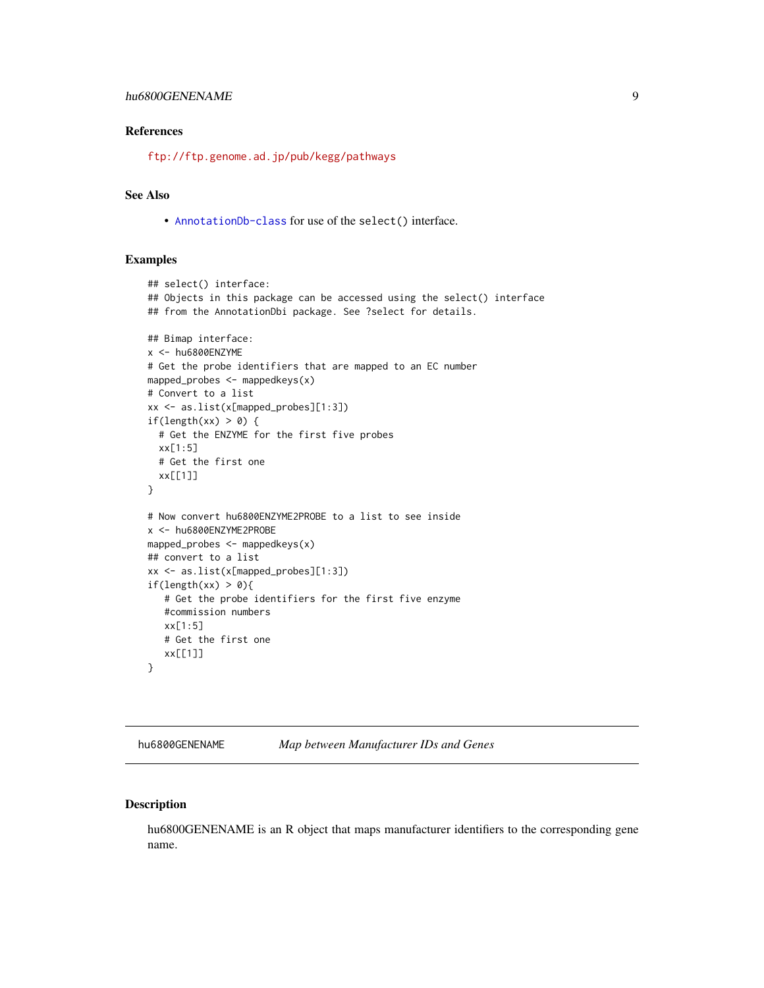## <span id="page-8-0"></span>hu6800GENENAME 9

### References

<ftp://ftp.genome.ad.jp/pub/kegg/pathways>

## See Also

• [AnnotationDb-class](#page-0-0) for use of the select() interface.

## Examples

```
## select() interface:
## Objects in this package can be accessed using the select() interface
## from the AnnotationDbi package. See ?select for details.
## Bimap interface:
x <- hu6800ENZYME
# Get the probe identifiers that are mapped to an EC number
mapped_probes <- mappedkeys(x)
# Convert to a list
xx <- as.list(x[mapped_probes][1:3])
if(length(xx) > 0) {
  # Get the ENZYME for the first five probes
  xx[1:5]
  # Get the first one
  xx[[1]]
}
# Now convert hu6800ENZYME2PROBE to a list to see inside
x <- hu6800ENZYME2PROBE
mapped_probes \leq mappedkeys(x)
## convert to a list
xx <- as.list(x[mapped_probes][1:3])
if(length(xx) > 0){
   # Get the probe identifiers for the first five enzyme
   #commission numbers
   xx[1:5]
   # Get the first one
  xx[[1]]
}
```
hu6800GENENAME *Map between Manufacturer IDs and Genes*

## Description

hu6800GENENAME is an R object that maps manufacturer identifiers to the corresponding gene name.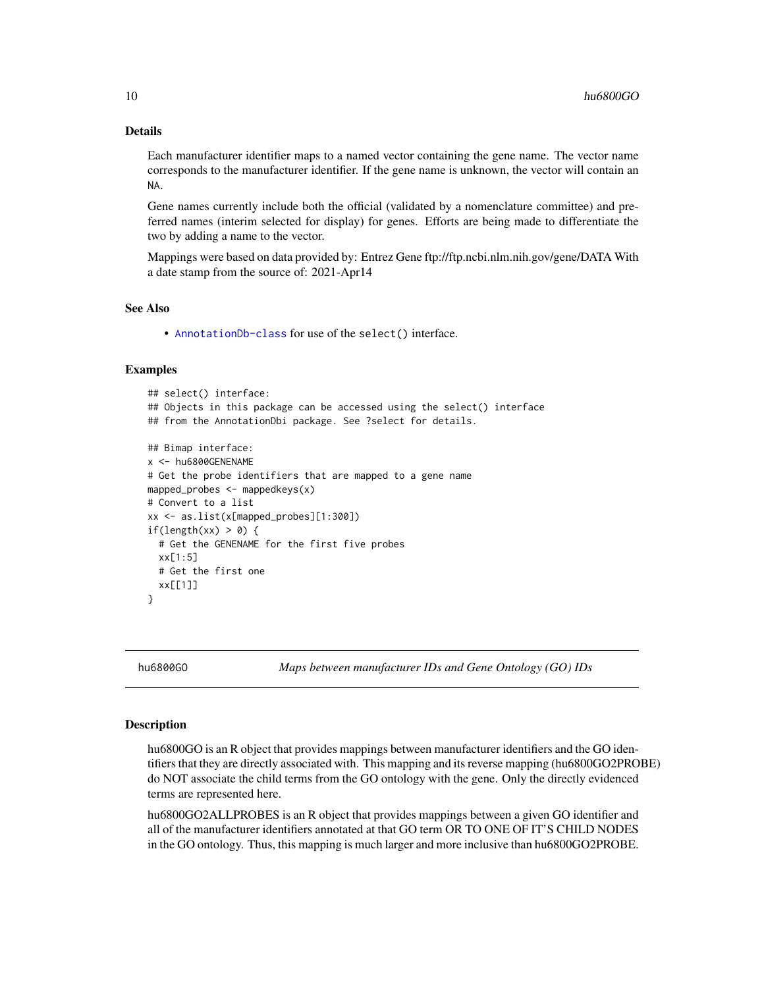## Details

Each manufacturer identifier maps to a named vector containing the gene name. The vector name corresponds to the manufacturer identifier. If the gene name is unknown, the vector will contain an NA.

Gene names currently include both the official (validated by a nomenclature committee) and preferred names (interim selected for display) for genes. Efforts are being made to differentiate the two by adding a name to the vector.

Mappings were based on data provided by: Entrez Gene ftp://ftp.ncbi.nlm.nih.gov/gene/DATA With a date stamp from the source of: 2021-Apr14

#### See Also

• [AnnotationDb-class](#page-0-0) for use of the select() interface.

#### Examples

```
## select() interface:
## Objects in this package can be accessed using the select() interface
## from the AnnotationDbi package. See ?select for details.
## Bimap interface:
x <- hu6800GENENAME
# Get the probe identifiers that are mapped to a gene name
mapped_probes <- mappedkeys(x)
# Convert to a list
xx <- as.list(x[mapped_probes][1:300])
if(length(xx) > 0) {
 # Get the GENENAME for the first five probes
 xx[1:5]
 # Get the first one
 xx[[1]]
}
```
hu6800GO *Maps between manufacturer IDs and Gene Ontology (GO) IDs*

## <span id="page-9-0"></span>Description

hu6800GO is an R object that provides mappings between manufacturer identifiers and the GO identifiers that they are directly associated with. This mapping and its reverse mapping (hu6800GO2PROBE) do NOT associate the child terms from the GO ontology with the gene. Only the directly evidenced terms are represented here.

hu6800GO2ALLPROBES is an R object that provides mappings between a given GO identifier and all of the manufacturer identifiers annotated at that GO term OR TO ONE OF IT'S CHILD NODES in the GO ontology. Thus, this mapping is much larger and more inclusive than hu6800GO2PROBE.

<span id="page-9-1"></span>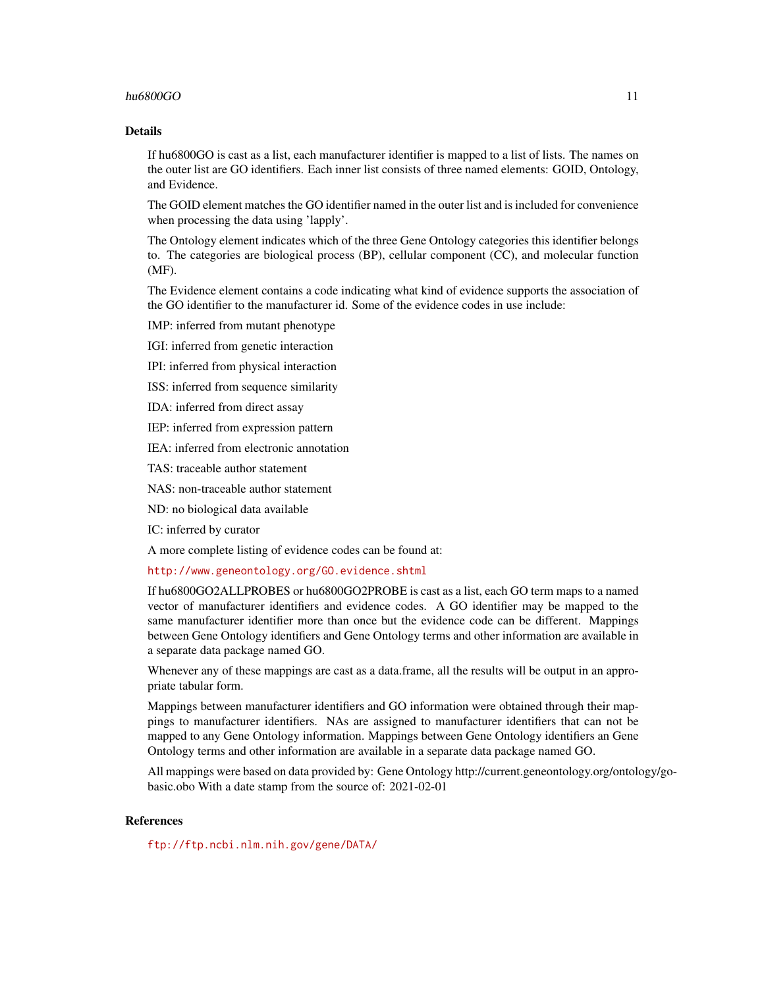## hu6800 $G$ O 11

## Details

If hu6800GO is cast as a list, each manufacturer identifier is mapped to a list of lists. The names on the outer list are GO identifiers. Each inner list consists of three named elements: GOID, Ontology, and Evidence.

The GOID element matches the GO identifier named in the outer list and is included for convenience when processing the data using 'lapply'.

The Ontology element indicates which of the three Gene Ontology categories this identifier belongs to. The categories are biological process (BP), cellular component (CC), and molecular function (MF).

The Evidence element contains a code indicating what kind of evidence supports the association of the GO identifier to the manufacturer id. Some of the evidence codes in use include:

IMP: inferred from mutant phenotype

IGI: inferred from genetic interaction

IPI: inferred from physical interaction

ISS: inferred from sequence similarity

IDA: inferred from direct assay

IEP: inferred from expression pattern

IEA: inferred from electronic annotation

TAS: traceable author statement

NAS: non-traceable author statement

ND: no biological data available

IC: inferred by curator

A more complete listing of evidence codes can be found at:

<http://www.geneontology.org/GO.evidence.shtml>

If hu6800GO2ALLPROBES or hu6800GO2PROBE is cast as a list, each GO term maps to a named vector of manufacturer identifiers and evidence codes. A GO identifier may be mapped to the same manufacturer identifier more than once but the evidence code can be different. Mappings between Gene Ontology identifiers and Gene Ontology terms and other information are available in a separate data package named GO.

Whenever any of these mappings are cast as a data.frame, all the results will be output in an appropriate tabular form.

Mappings between manufacturer identifiers and GO information were obtained through their mappings to manufacturer identifiers. NAs are assigned to manufacturer identifiers that can not be mapped to any Gene Ontology information. Mappings between Gene Ontology identifiers an Gene Ontology terms and other information are available in a separate data package named GO.

All mappings were based on data provided by: Gene Ontology http://current.geneontology.org/ontology/gobasic.obo With a date stamp from the source of: 2021-02-01

## References

<ftp://ftp.ncbi.nlm.nih.gov/gene/DATA/>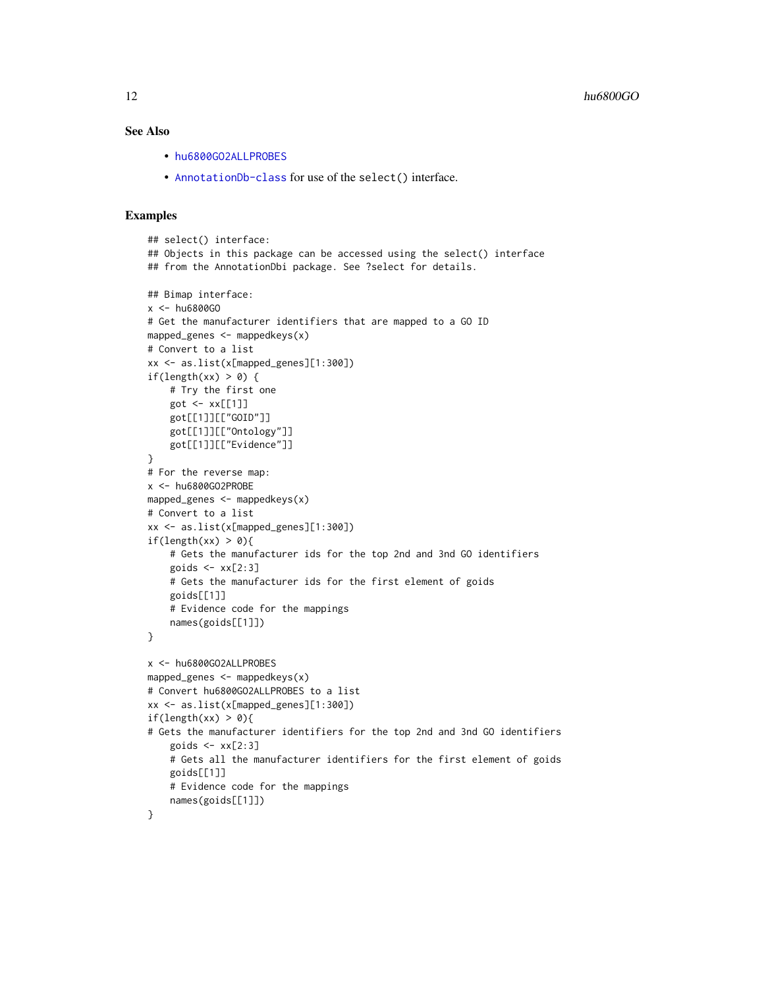## <span id="page-11-0"></span>See Also

- [hu6800GO2ALLPROBES](#page-9-0)
- [AnnotationDb-class](#page-0-0) for use of the select() interface.

```
## select() interface:
## Objects in this package can be accessed using the select() interface
## from the AnnotationDbi package. See ?select for details.
## Bimap interface:
x <- hu6800GO
# Get the manufacturer identifiers that are mapped to a GO ID
mapped_genes <- mappedkeys(x)
# Convert to a list
xx <- as.list(x[mapped_genes][1:300])
if(length(xx) > 0) {
    # Try the first one
   got \leq -xx[[1]]got[[1]][["GOID"]]
    got[[1]][["Ontology"]]
    got[[1]][["Evidence"]]
}
# For the reverse map:
x <- hu6800GO2PROBE
mapped_genes <- mappedkeys(x)
# Convert to a list
xx <- as.list(x[mapped_genes][1:300])
if(length(xx) > 0){
    # Gets the manufacturer ids for the top 2nd and 3nd GO identifiers
    goids \leftarrow xx[2:3]# Gets the manufacturer ids for the first element of goids
    goids[[1]]
    # Evidence code for the mappings
   names(goids[[1]])
}
x <- hu6800GO2ALLPROBES
mapped_genes <- mappedkeys(x)
# Convert hu6800GO2ALLPROBES to a list
xx <- as.list(x[mapped_genes][1:300])
if(length(xx) > 0){
# Gets the manufacturer identifiers for the top 2nd and 3nd GO identifiers
    goids \leftarrow xx[2:3]# Gets all the manufacturer identifiers for the first element of goids
   goids[[1]]
    # Evidence code for the mappings
   names(goids[[1]])
}
```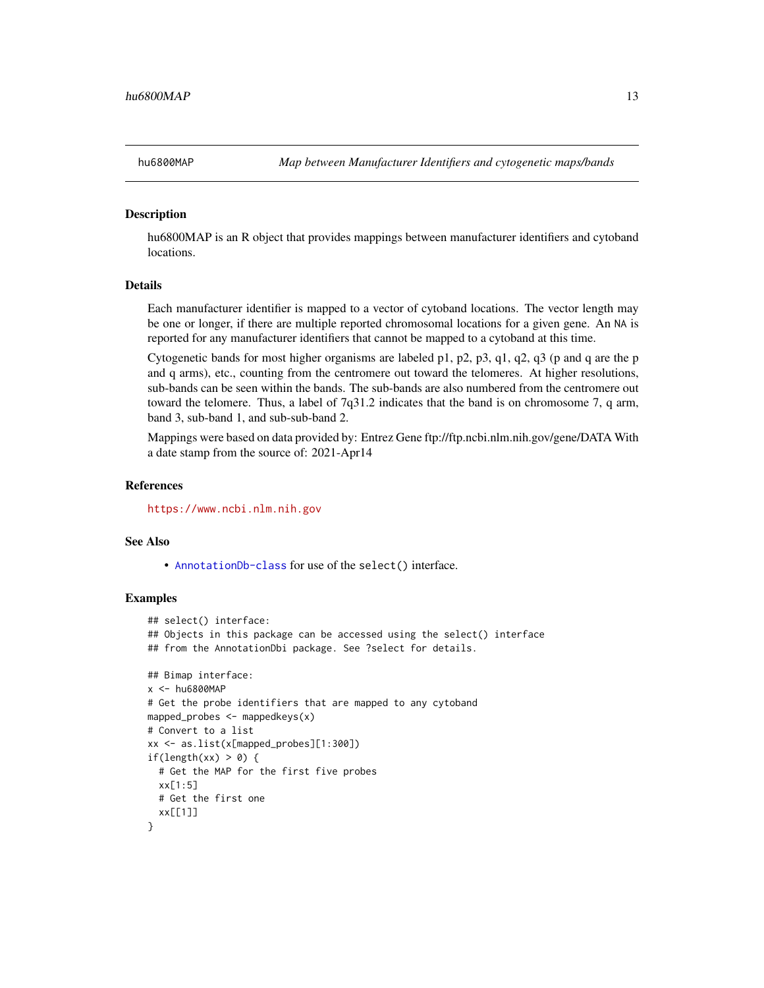<span id="page-12-0"></span>

hu6800MAP is an R object that provides mappings between manufacturer identifiers and cytoband locations.

## Details

Each manufacturer identifier is mapped to a vector of cytoband locations. The vector length may be one or longer, if there are multiple reported chromosomal locations for a given gene. An NA is reported for any manufacturer identifiers that cannot be mapped to a cytoband at this time.

Cytogenetic bands for most higher organisms are labeled p1, p2, p3, q1, q2, q3 (p and q are the p and q arms), etc., counting from the centromere out toward the telomeres. At higher resolutions, sub-bands can be seen within the bands. The sub-bands are also numbered from the centromere out toward the telomere. Thus, a label of 7q31.2 indicates that the band is on chromosome 7, q arm, band 3, sub-band 1, and sub-sub-band 2.

Mappings were based on data provided by: Entrez Gene ftp://ftp.ncbi.nlm.nih.gov/gene/DATA With a date stamp from the source of: 2021-Apr14

### **References**

<https://www.ncbi.nlm.nih.gov>

#### See Also

• [AnnotationDb-class](#page-0-0) for use of the select() interface.

```
## select() interface:
## Objects in this package can be accessed using the select() interface
## from the AnnotationDbi package. See ?select for details.
## Bimap interface:
x < - hu6800MAP
# Get the probe identifiers that are mapped to any cytoband
mapped_probes <- mappedkeys(x)
# Convert to a list
xx <- as.list(x[mapped_probes][1:300])
if(length(xx) > 0) {
 # Get the MAP for the first five probes
 xx[1:5]
 # Get the first one
 xx[[1]]
}
```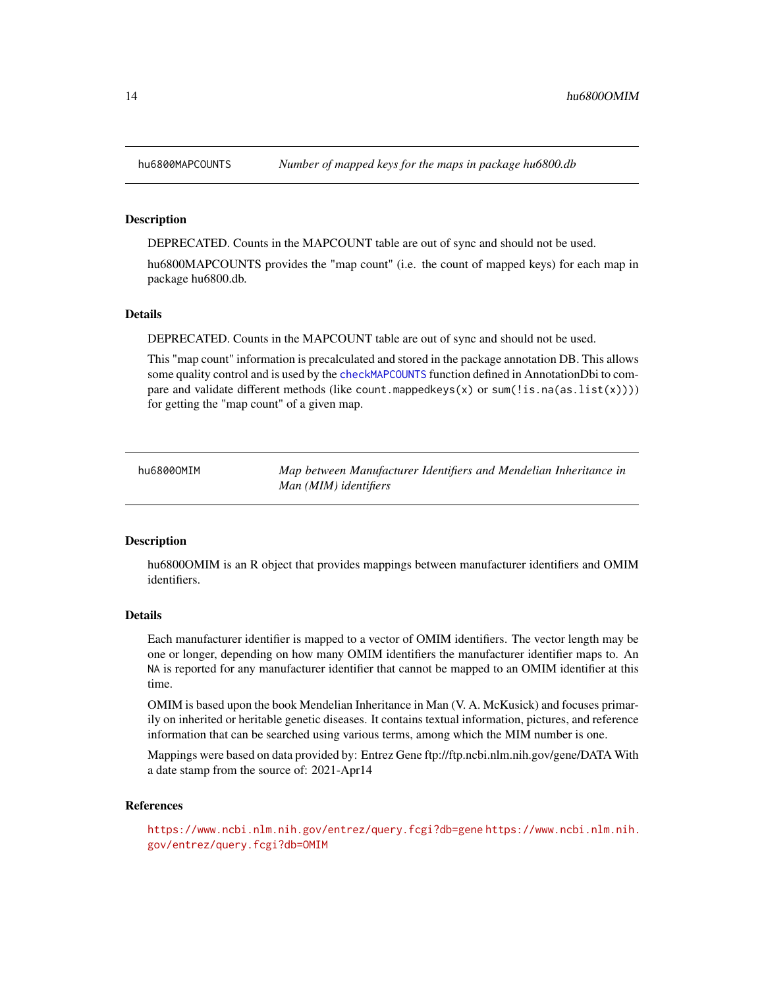<span id="page-13-0"></span>

DEPRECATED. Counts in the MAPCOUNT table are out of sync and should not be used.

hu6800MAPCOUNTS provides the "map count" (i.e. the count of mapped keys) for each map in package hu6800.db.

## Details

DEPRECATED. Counts in the MAPCOUNT table are out of sync and should not be used.

This "map count" information is precalculated and stored in the package annotation DB. This allows some quality control and is used by the [checkMAPCOUNTS](#page-0-0) function defined in AnnotationDbi to compare and validate different methods (like count.mappedkeys(x) or sum(!is.na(as.list(x)))) for getting the "map count" of a given map.

hu6800OMIM *Map between Manufacturer Identifiers and Mendelian Inheritance in Man (MIM) identifiers*

#### Description

hu6800OMIM is an R object that provides mappings between manufacturer identifiers and OMIM identifiers.

#### Details

Each manufacturer identifier is mapped to a vector of OMIM identifiers. The vector length may be one or longer, depending on how many OMIM identifiers the manufacturer identifier maps to. An NA is reported for any manufacturer identifier that cannot be mapped to an OMIM identifier at this time.

OMIM is based upon the book Mendelian Inheritance in Man (V. A. McKusick) and focuses primarily on inherited or heritable genetic diseases. It contains textual information, pictures, and reference information that can be searched using various terms, among which the MIM number is one.

Mappings were based on data provided by: Entrez Gene ftp://ftp.ncbi.nlm.nih.gov/gene/DATA With a date stamp from the source of: 2021-Apr14

#### References

<https://www.ncbi.nlm.nih.gov/entrez/query.fcgi?db=gene> [https://www.ncbi.nlm.nih.](https://www.ncbi.nlm.nih.gov/entrez/query.fcgi?db=OMIM) [gov/entrez/query.fcgi?db=OMIM](https://www.ncbi.nlm.nih.gov/entrez/query.fcgi?db=OMIM)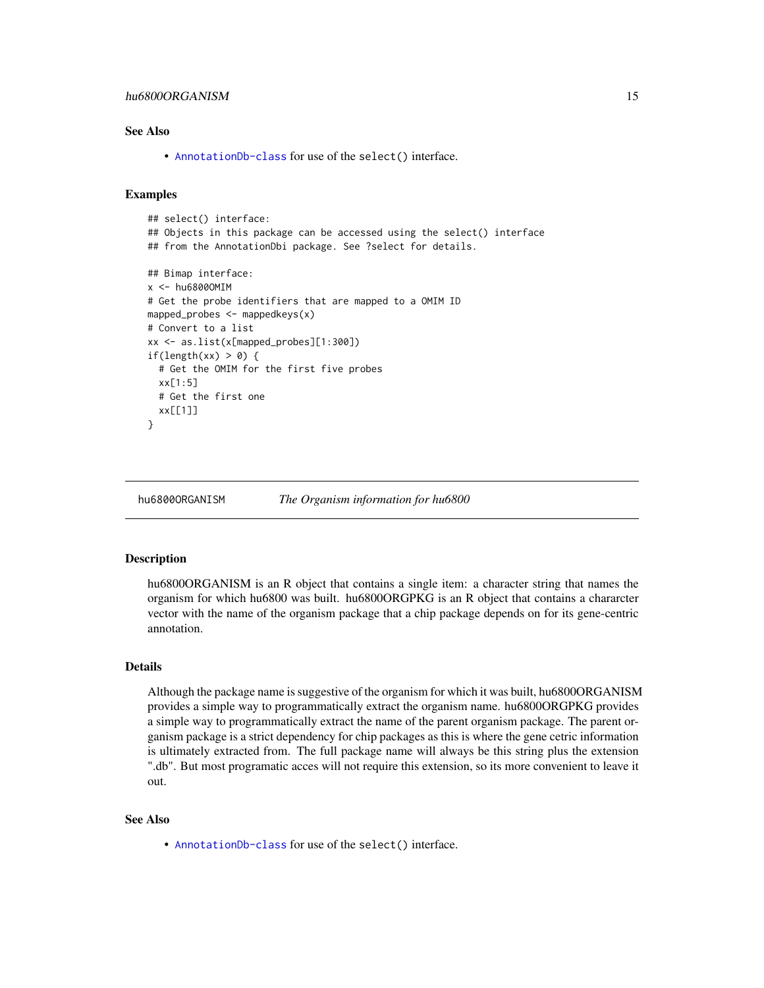## <span id="page-14-0"></span>hu6800ORGANISM 15

## See Also

• [AnnotationDb-class](#page-0-0) for use of the select() interface.

## Examples

```
## select() interface:
## Objects in this package can be accessed using the select() interface
## from the AnnotationDbi package. See ?select for details.
## Bimap interface:
x <- hu6800OMIM
# Get the probe identifiers that are mapped to a OMIM ID
mapped_probes <- mappedkeys(x)
# Convert to a list
xx <- as.list(x[mapped_probes][1:300])
if(length(xx) > 0) {
 # Get the OMIM for the first five probes
 xx[1:5]
 # Get the first one
 xx[[1]]
}
```
hu6800ORGANISM *The Organism information for hu6800*

#### **Description**

hu6800ORGANISM is an R object that contains a single item: a character string that names the organism for which hu6800 was built. hu6800ORGPKG is an R object that contains a chararcter vector with the name of the organism package that a chip package depends on for its gene-centric annotation.

## Details

Although the package name is suggestive of the organism for which it was built, hu6800ORGANISM provides a simple way to programmatically extract the organism name. hu6800ORGPKG provides a simple way to programmatically extract the name of the parent organism package. The parent organism package is a strict dependency for chip packages as this is where the gene cetric information is ultimately extracted from. The full package name will always be this string plus the extension ".db". But most programatic acces will not require this extension, so its more convenient to leave it out.

#### See Also

• [AnnotationDb-class](#page-0-0) for use of the select() interface.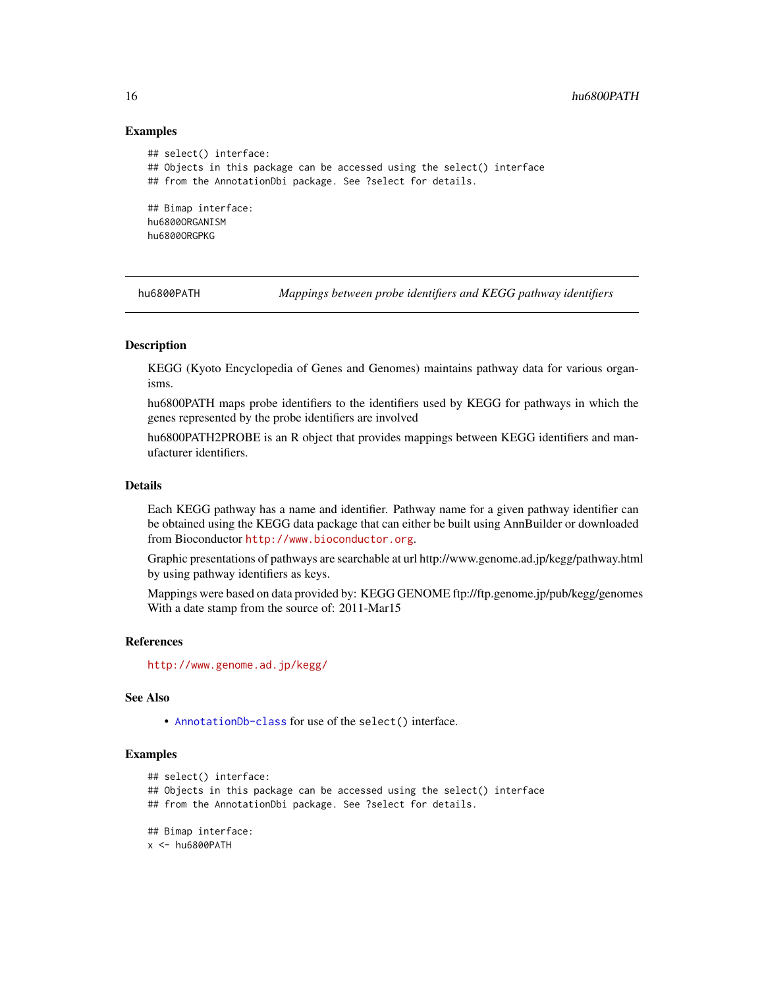## Examples

```
## select() interface:
## Objects in this package can be accessed using the select() interface
## from the AnnotationDbi package. See ?select for details.
## Bimap interface:
hu6800ORGANISM
hu6800ORGPKG
```
hu6800PATH *Mappings between probe identifiers and KEGG pathway identifiers*

#### Description

KEGG (Kyoto Encyclopedia of Genes and Genomes) maintains pathway data for various organisms.

hu6800PATH maps probe identifiers to the identifiers used by KEGG for pathways in which the genes represented by the probe identifiers are involved

hu6800PATH2PROBE is an R object that provides mappings between KEGG identifiers and manufacturer identifiers.

## Details

Each KEGG pathway has a name and identifier. Pathway name for a given pathway identifier can be obtained using the KEGG data package that can either be built using AnnBuilder or downloaded from Bioconductor <http://www.bioconductor.org>.

Graphic presentations of pathways are searchable at url http://www.genome.ad.jp/kegg/pathway.html by using pathway identifiers as keys.

Mappings were based on data provided by: KEGG GENOME ftp://ftp.genome.jp/pub/kegg/genomes With a date stamp from the source of: 2011-Mar15

#### References

<http://www.genome.ad.jp/kegg/>

#### See Also

• [AnnotationDb-class](#page-0-0) for use of the select() interface.

```
## select() interface:
## Objects in this package can be accessed using the select() interface
## from the AnnotationDbi package. See ?select for details.
## Bimap interface:
x <- hu6800PATH
```
<span id="page-15-0"></span>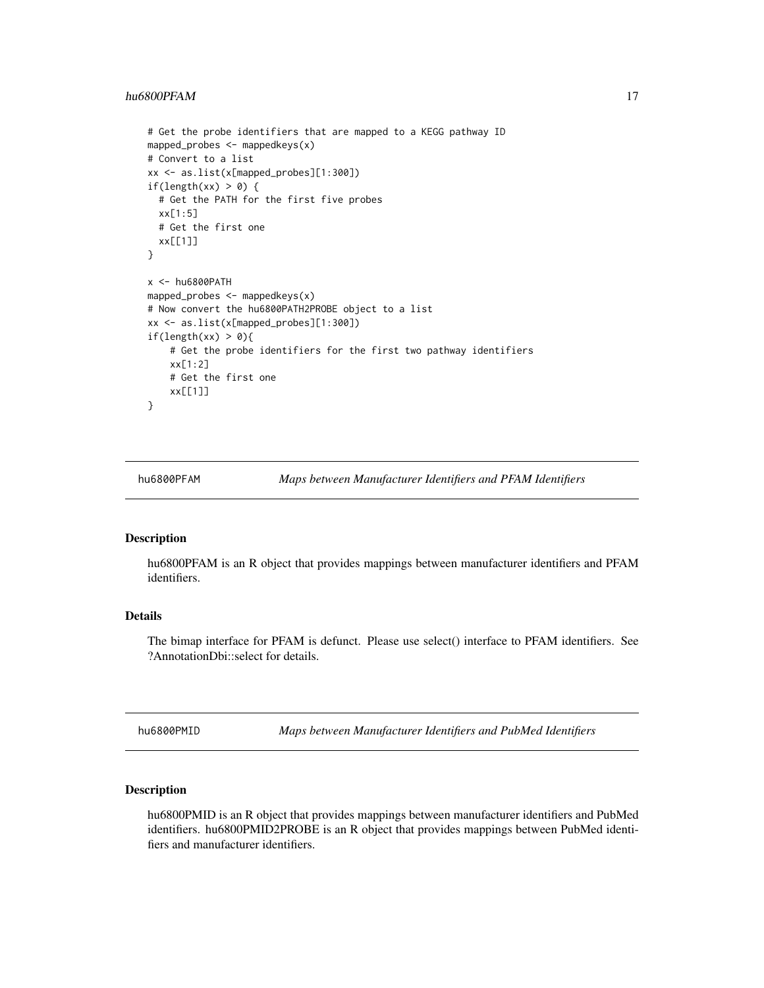## <span id="page-16-0"></span>hu6800PFAM 17

```
# Get the probe identifiers that are mapped to a KEGG pathway ID
mapped_probes <- mappedkeys(x)
# Convert to a list
xx <- as.list(x[mapped_probes][1:300])
if(length(xx) > 0) {
 # Get the PATH for the first five probes
 xx[1:5]
 # Get the first one
 xx[[1]]
}
x <- hu6800PATH
mapped_probes <- mappedkeys(x)
# Now convert the hu6800PATH2PROBE object to a list
xx <- as.list(x[mapped_probes][1:300])
if(length(xx) > 0){
    # Get the probe identifiers for the first two pathway identifiers
   xx[1:2]
   # Get the first one
   xx[[1]]
}
```
hu6800PFAM *Maps between Manufacturer Identifiers and PFAM Identifiers*

## Description

hu6800PFAM is an R object that provides mappings between manufacturer identifiers and PFAM identifiers.

## Details

The bimap interface for PFAM is defunct. Please use select() interface to PFAM identifiers. See ?AnnotationDbi::select for details.

hu6800PMID *Maps between Manufacturer Identifiers and PubMed Identifiers*

#### Description

hu6800PMID is an R object that provides mappings between manufacturer identifiers and PubMed identifiers. hu6800PMID2PROBE is an R object that provides mappings between PubMed identifiers and manufacturer identifiers.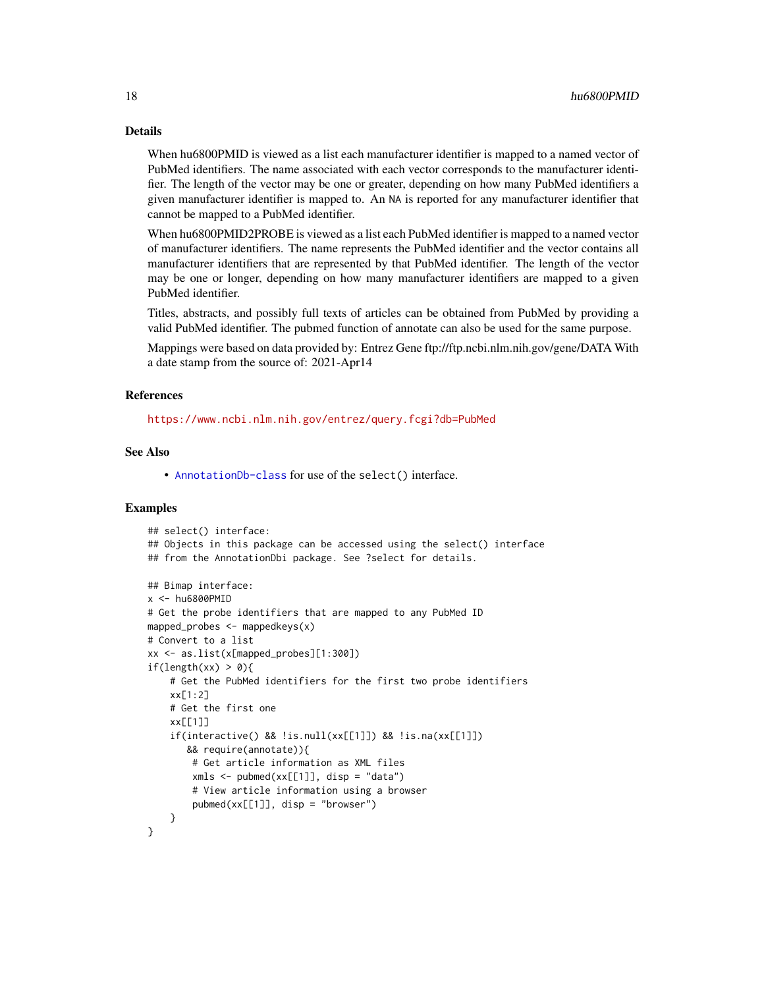## Details

When hu6800PMID is viewed as a list each manufacturer identifier is mapped to a named vector of PubMed identifiers. The name associated with each vector corresponds to the manufacturer identifier. The length of the vector may be one or greater, depending on how many PubMed identifiers a given manufacturer identifier is mapped to. An NA is reported for any manufacturer identifier that cannot be mapped to a PubMed identifier.

When hu6800PMID2PROBE is viewed as a list each PubMed identifier is mapped to a named vector of manufacturer identifiers. The name represents the PubMed identifier and the vector contains all manufacturer identifiers that are represented by that PubMed identifier. The length of the vector may be one or longer, depending on how many manufacturer identifiers are mapped to a given PubMed identifier.

Titles, abstracts, and possibly full texts of articles can be obtained from PubMed by providing a valid PubMed identifier. The pubmed function of annotate can also be used for the same purpose.

Mappings were based on data provided by: Entrez Gene ftp://ftp.ncbi.nlm.nih.gov/gene/DATA With a date stamp from the source of: 2021-Apr14

#### References

<https://www.ncbi.nlm.nih.gov/entrez/query.fcgi?db=PubMed>

## See Also

• [AnnotationDb-class](#page-0-0) for use of the select() interface.

```
## select() interface:
## Objects in this package can be accessed using the select() interface
## from the AnnotationDbi package. See ?select for details.
## Bimap interface:
x <- hu6800PMID
# Get the probe identifiers that are mapped to any PubMed ID
mapped_probes \leq mappedkeys(x)
# Convert to a list
xx <- as.list(x[mapped_probes][1:300])
if(length(xx) > 0){
    # Get the PubMed identifiers for the first two probe identifiers
    xx[1:2]
    # Get the first one
    xx[[1]]
    if(interactive() && !is.null(xx[[1]]) && !is.na(xx[[1]])
       && require(annotate)){
        # Get article information as XML files
        xmls < -pubmed(xx[[1]], disp = "data")# View article information using a browser
        pubmed(xx[[1]], disp = "browser")
    }
}
```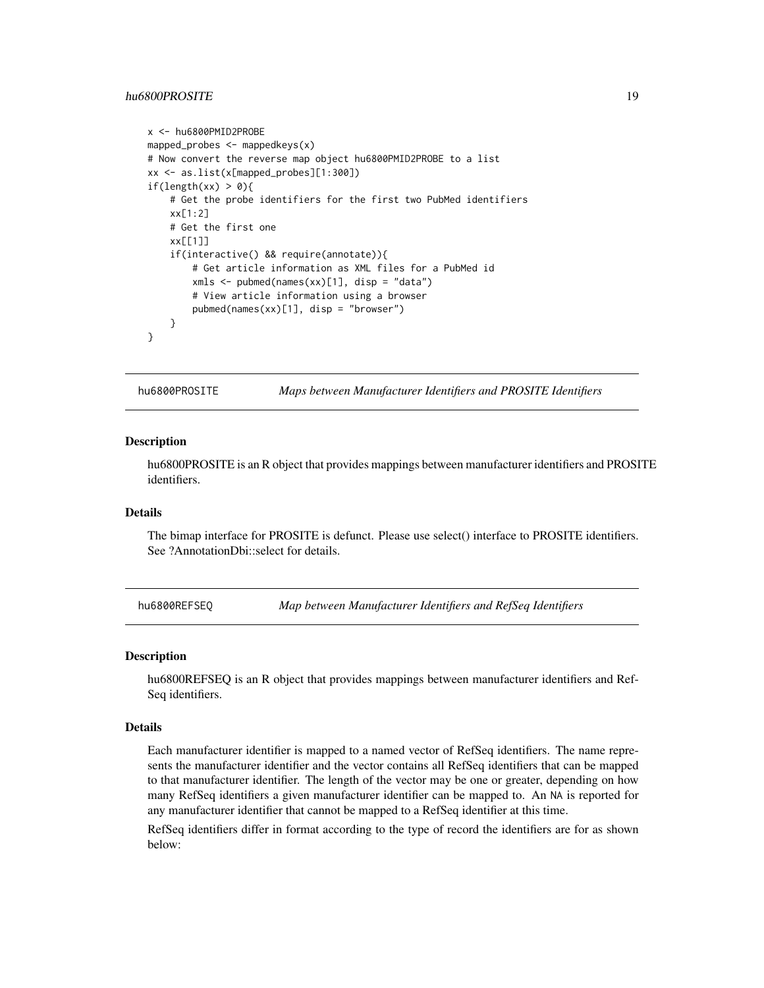## <span id="page-18-0"></span>hu6800PROSITE 19

```
x <- hu6800PMID2PROBE
mapped_probes <- mappedkeys(x)
# Now convert the reverse map object hu6800PMID2PROBE to a list
xx <- as.list(x[mapped_probes][1:300])
if(length(xx) > 0){
    # Get the probe identifiers for the first two PubMed identifiers
    xx[1:2]
    # Get the first one
    xx[[1]]
    if(interactive() && require(annotate)){
       # Get article information as XML files for a PubMed id
       xmls <- pubmed(names(xx)[1], disp = "data")
       # View article information using a browser
       pubmed(names(xx)[1], disp = "browser")
   }
}
```
hu6800PROSITE *Maps between Manufacturer Identifiers and PROSITE Identifiers*

#### **Description**

hu6800PROSITE is an R object that provides mappings between manufacturer identifiers and PROSITE identifiers.

## Details

The bimap interface for PROSITE is defunct. Please use select() interface to PROSITE identifiers. See ?AnnotationDbi::select for details.

hu6800REFSEQ *Map between Manufacturer Identifiers and RefSeq Identifiers*

#### Description

hu6800REFSEQ is an R object that provides mappings between manufacturer identifiers and Ref-Seq identifiers.

#### Details

Each manufacturer identifier is mapped to a named vector of RefSeq identifiers. The name represents the manufacturer identifier and the vector contains all RefSeq identifiers that can be mapped to that manufacturer identifier. The length of the vector may be one or greater, depending on how many RefSeq identifiers a given manufacturer identifier can be mapped to. An NA is reported for any manufacturer identifier that cannot be mapped to a RefSeq identifier at this time.

RefSeq identifiers differ in format according to the type of record the identifiers are for as shown below: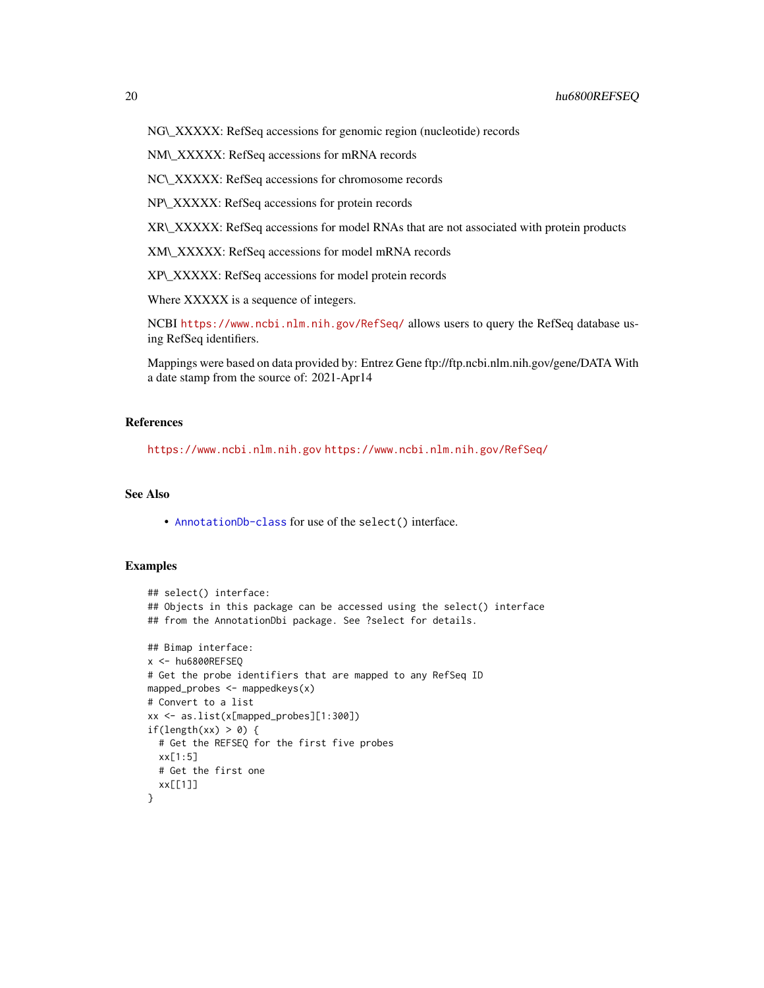NM\\_XXXXX: RefSeq accessions for mRNA records

NC\\_XXXXX: RefSeq accessions for chromosome records

NP\\_XXXXX: RefSeq accessions for protein records

XR\\_XXXXX: RefSeq accessions for model RNAs that are not associated with protein products

XM\\_XXXXX: RefSeq accessions for model mRNA records

XP\\_XXXXX: RefSeq accessions for model protein records

Where XXXXX is a sequence of integers.

NCBI <https://www.ncbi.nlm.nih.gov/RefSeq/> allows users to query the RefSeq database using RefSeq identifiers.

Mappings were based on data provided by: Entrez Gene ftp://ftp.ncbi.nlm.nih.gov/gene/DATA With a date stamp from the source of: 2021-Apr14

## References

<https://www.ncbi.nlm.nih.gov> <https://www.ncbi.nlm.nih.gov/RefSeq/>

## See Also

• [AnnotationDb-class](#page-0-0) for use of the select() interface.

```
## select() interface:
## Objects in this package can be accessed using the select() interface
## from the AnnotationDbi package. See ?select for details.
## Bimap interface:
x <- hu6800REFSEQ
# Get the probe identifiers that are mapped to any RefSeq ID
mapped_probes \leq mappedkeys(x)
# Convert to a list
xx <- as.list(x[mapped_probes][1:300])
if(length(xx) > \theta) {
  # Get the REFSEQ for the first five probes
  xx[1:5]
  # Get the first one
  xx[[1]]
}
```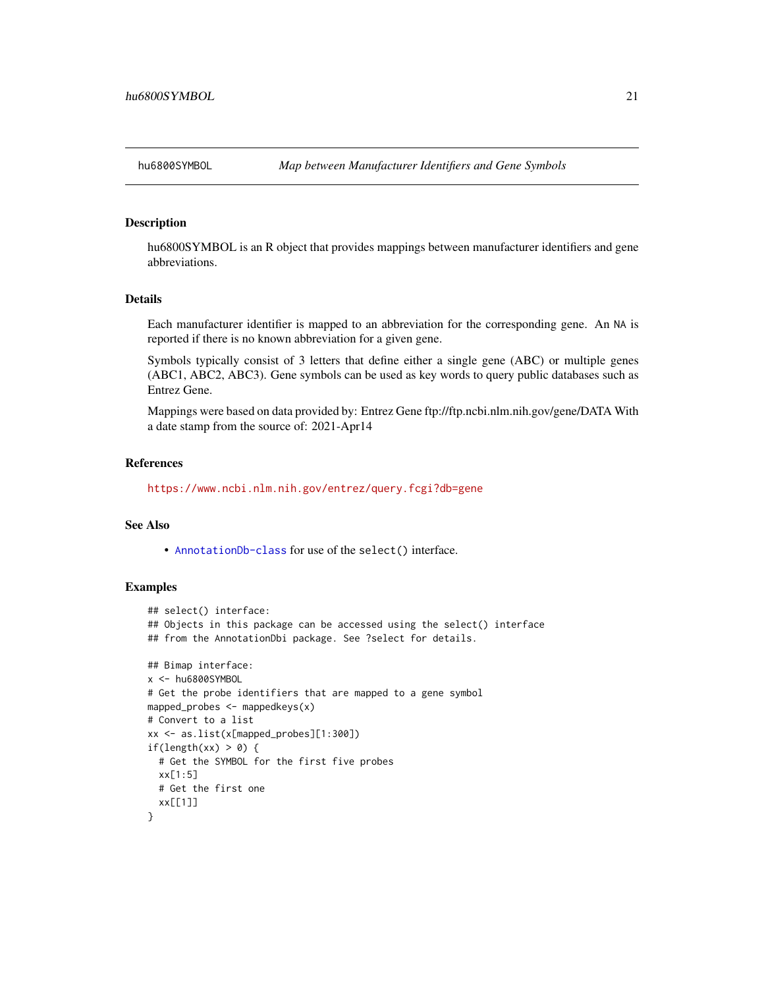<span id="page-20-0"></span>

hu6800SYMBOL is an R object that provides mappings between manufacturer identifiers and gene abbreviations.

## Details

Each manufacturer identifier is mapped to an abbreviation for the corresponding gene. An NA is reported if there is no known abbreviation for a given gene.

Symbols typically consist of 3 letters that define either a single gene (ABC) or multiple genes (ABC1, ABC2, ABC3). Gene symbols can be used as key words to query public databases such as Entrez Gene.

Mappings were based on data provided by: Entrez Gene ftp://ftp.ncbi.nlm.nih.gov/gene/DATA With a date stamp from the source of: 2021-Apr14

#### References

<https://www.ncbi.nlm.nih.gov/entrez/query.fcgi?db=gene>

#### See Also

• [AnnotationDb-class](#page-0-0) for use of the select() interface.

```
## select() interface:
## Objects in this package can be accessed using the select() interface
## from the AnnotationDbi package. See ?select for details.
## Bimap interface:
x <- hu6800SYMBOL
# Get the probe identifiers that are mapped to a gene symbol
mapped_probes <- mappedkeys(x)
# Convert to a list
xx <- as.list(x[mapped_probes][1:300])
if(length(xx) > 0) {
  # Get the SYMBOL for the first five probes
  xx[1:5]
  # Get the first one
  xx[[1]]
}
```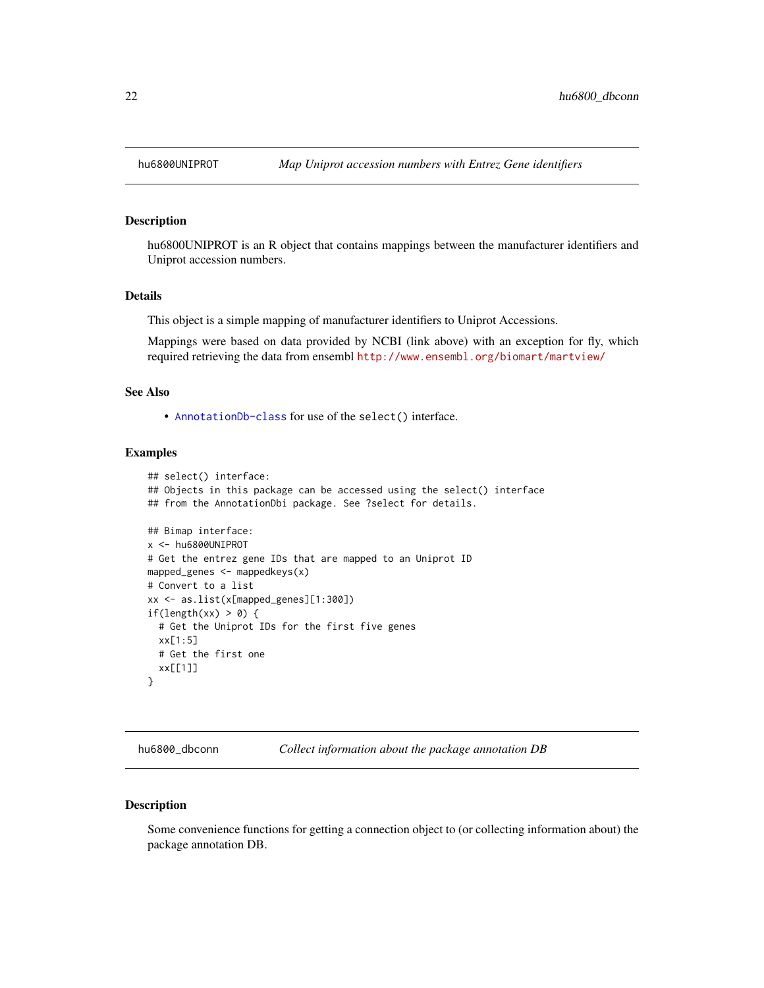<span id="page-21-0"></span>

hu6800UNIPROT is an R object that contains mappings between the manufacturer identifiers and Uniprot accession numbers.

#### Details

This object is a simple mapping of manufacturer identifiers to Uniprot Accessions.

Mappings were based on data provided by NCBI (link above) with an exception for fly, which required retrieving the data from ensembl <http://www.ensembl.org/biomart/martview/>

## See Also

• [AnnotationDb-class](#page-0-0) for use of the select() interface.

## Examples

```
## select() interface:
## Objects in this package can be accessed using the select() interface
## from the AnnotationDbi package. See ?select for details.
## Bimap interface:
x <- hu6800UNIPROT
# Get the entrez gene IDs that are mapped to an Uniprot ID
mapped_genes <- mappedkeys(x)
# Convert to a list
xx <- as.list(x[mapped_genes][1:300])
if(length(xx) > 0) {
  # Get the Uniprot IDs for the first five genes
  xx[1:5]
  # Get the first one
  xx[[1]]
}
```
hu6800\_dbconn *Collect information about the package annotation DB*

#### Description

Some convenience functions for getting a connection object to (or collecting information about) the package annotation DB.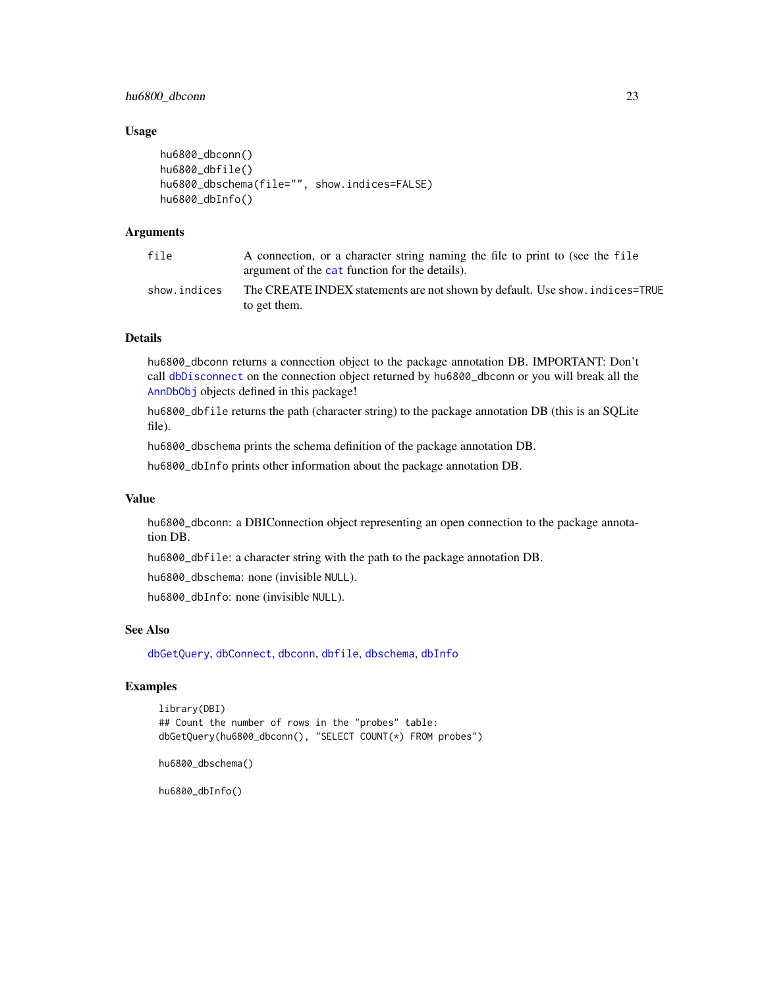<span id="page-22-0"></span>hu6800\_dbconn 23

#### Usage

```
hu6800_dbconn()
hu6800_dbfile()
hu6800_dbschema(file="", show.indices=FALSE)
hu6800_dbInfo()
```
## Arguments

| file         | A connection, or a character string naming the file to print to (see the file<br>argument of the cat function for the details). |
|--------------|---------------------------------------------------------------------------------------------------------------------------------|
| show.indices | The CREATE INDEX statements are not shown by default. Use show, indices=TRUE<br>to get them.                                    |

## Details

hu6800\_dbconn returns a connection object to the package annotation DB. IMPORTANT: Don't call [dbDisconnect](#page-0-0) on the connection object returned by hu6800\_dbconn or you will break all the [AnnDbObj](#page-0-0) objects defined in this package!

hu6800\_dbfile returns the path (character string) to the package annotation DB (this is an SQLite file).

hu6800\_dbschema prints the schema definition of the package annotation DB.

hu6800\_dbInfo prints other information about the package annotation DB.

#### Value

hu6800\_dbconn: a DBIConnection object representing an open connection to the package annotation DB.

hu6800\_dbfile: a character string with the path to the package annotation DB.

hu6800\_dbschema: none (invisible NULL).

hu6800\_dbInfo: none (invisible NULL).

## See Also

[dbGetQuery](#page-0-0), [dbConnect](#page-0-0), [dbconn](#page-0-0), [dbfile](#page-0-0), [dbschema](#page-0-0), [dbInfo](#page-0-0)

## Examples

```
library(DBI)
## Count the number of rows in the "probes" table:
dbGetQuery(hu6800_dbconn(), "SELECT COUNT(*) FROM probes")
```

```
hu6800_dbschema()
```
hu6800\_dbInfo()